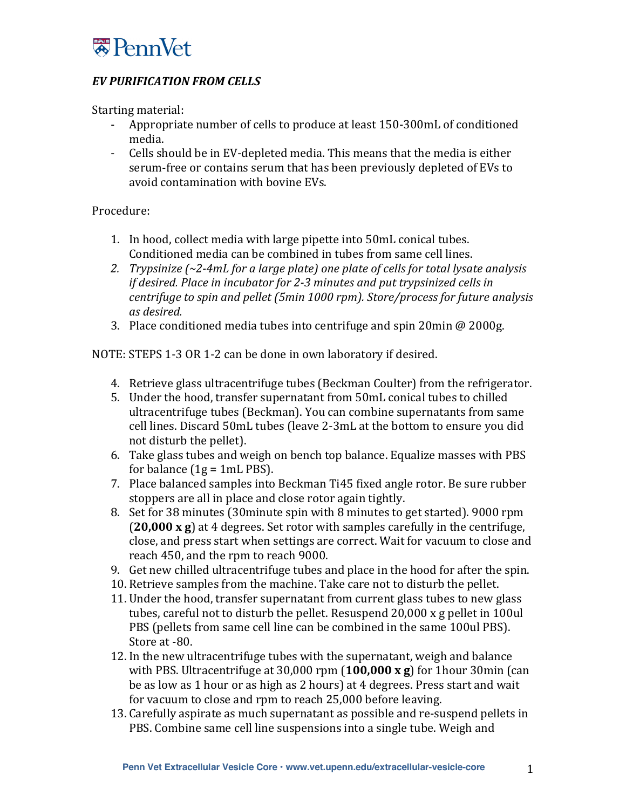

## **EV PURIFICATION FROM CELLS**

Starting material:

- Appropriate number of cells to produce at least 150-300mL of conditioned media.
- Cells should be in EV-depleted media. This means that the media is either serum-free or contains serum that has been previously depleted of EVs to avoid contamination with bovine EVs.

## Procedure:

- 1. In hood, collect media with large pipette into 50mL conical tubes. Conditioned media can be combined in tubes from same cell lines.
- 2. *Trypsinize*  $\left(\frac{2-4mL}{2}\right)$  for a large plate) one plate of cells for total lysate analysis *if desired.* Place in incubator for 2-3 minutes and put trypsinized cells in *centrifuge to spin and pellet (5min 1000 rpm). Store/process for future analysis as desired.*
- 3. Place conditioned media tubes into centrifuge and spin 20min  $@$  2000g.

NOTE: STEPS 1-3 OR 1-2 can be done in own laboratory if desired.

- 4. Retrieve glass ultracentrifuge tubes (Beckman Coulter) from the refrigerator.
- 5. Under the hood, transfer supernatant from 50mL conical tubes to chilled ultracentrifuge tubes (Beckman). You can combine supernatants from same cell lines. Discard 50mL tubes (leave 2-3mL at the bottom to ensure you did not disturb the pellet).
- 6. Take glass tubes and weigh on bench top balance. Equalize masses with PBS for balance  $(1g = 1mL$  PBS).
- 7. Place balanced samples into Beckman Ti45 fixed angle rotor. Be sure rubber stoppers are all in place and close rotor again tightly.
- 8. Set for 38 minutes (30 minute spin with 8 minutes to get started). 9000 rpm (20,000 x g) at 4 degrees. Set rotor with samples carefully in the centrifuge, close, and press start when settings are correct. Wait for vacuum to close and reach 450, and the rpm to reach 9000.
- 9. Get new chilled ultracentrifuge tubes and place in the hood for after the spin.
- 10. Retrieve samples from the machine. Take care not to disturb the pellet.
- 11. Under the hood, transfer supernatant from current glass tubes to new glass tubes, careful not to disturb the pellet. Resuspend  $20,000 \times g$  pellet in 100ul PBS (pellets from same cell line can be combined in the same 100ul PBS). Store at -80.
- 12. In the new ultracentrifuge tubes with the supernatant, weigh and balance with PBS. Ultracentrifuge at 30,000 rpm  $(100,000 \times g)$  for 1hour 30min (can be as low as 1 hour or as high as 2 hours) at 4 degrees. Press start and wait for vacuum to close and rpm to reach 25,000 before leaving.
- 13. Carefully aspirate as much supernatant as possible and re-suspend pellets in PBS. Combine same cell line suspensions into a single tube. Weigh and